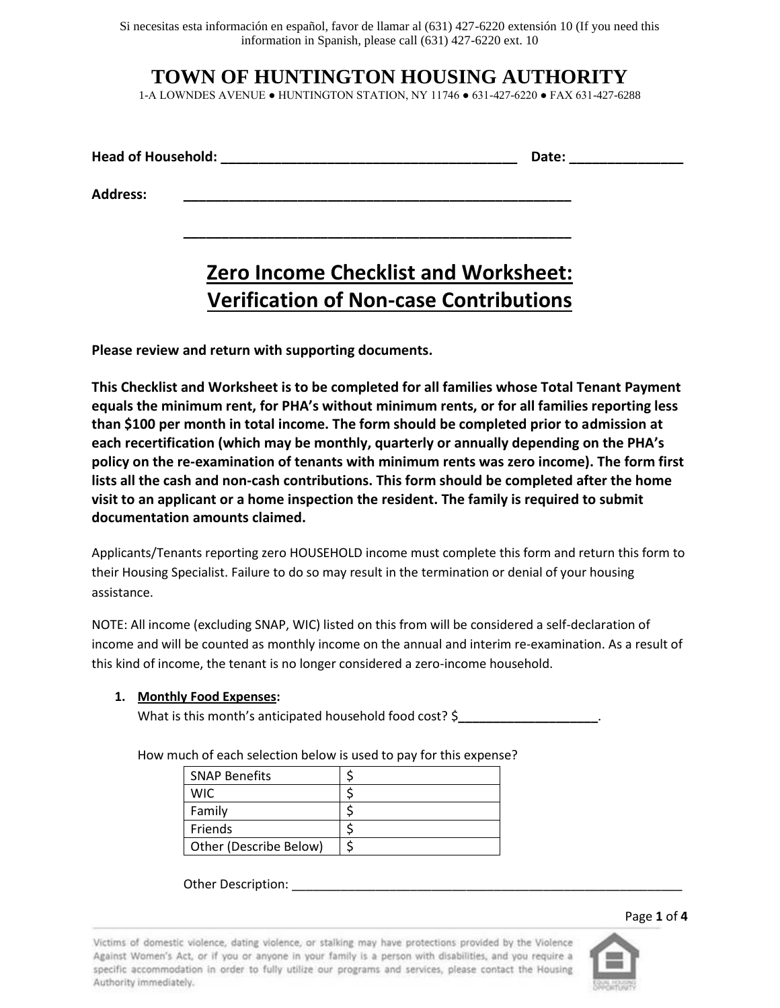Si necesitas esta información en español, favor de llamar al (631) 427-6220 extensión 10 (If you need this information in Spanish, please call (631) 427-6220 ext. 10

# **TOWN OF HUNTINGTON HOUSING AUTHORITY**

1-A LOWNDES AVENUE ● HUNTINGTON STATION, NY 11746 ● 631-427-6220 ● FAX 631-427-6288

| <b>Head of Household:</b> | Date. |
|---------------------------|-------|
|---------------------------|-------|

**\_\_\_\_\_\_\_\_\_\_\_\_\_\_\_\_\_\_\_\_\_\_\_\_\_\_\_\_\_\_\_\_\_\_\_\_\_\_\_\_\_\_\_\_\_\_\_\_\_\_\_**

**Address: \_\_\_\_\_\_\_\_\_\_\_\_\_\_\_\_\_\_\_\_\_\_\_\_\_\_\_\_\_\_\_\_\_\_\_\_\_\_\_\_\_\_\_\_\_\_\_\_\_\_\_**

# **Zero Income Checklist and Worksheet: Verification of Non-case Contributions**

**Please review and return with supporting documents.**

**This Checklist and Worksheet is to be completed for all families whose Total Tenant Payment equals the minimum rent, for PHA's without minimum rents, or for all families reporting less than \$100 per month in total income. The form should be completed prior to admission at each recertification (which may be monthly, quarterly or annually depending on the PHA's policy on the re-examination of tenants with minimum rents was zero income). The form first lists all the cash and non-cash contributions. This form should be completed after the home visit to an applicant or a home inspection the resident. The family is required to submit documentation amounts claimed.**

Applicants/Tenants reporting zero HOUSEHOLD income must complete this form and return this form to their Housing Specialist. Failure to do so may result in the termination or denial of your housing assistance.

NOTE: All income (excluding SNAP, WIC) listed on this from will be considered a self-declaration of income and will be counted as monthly income on the annual and interim re-examination. As a result of this kind of income, the tenant is no longer considered a zero-income household.

# **1. Monthly Food Expenses:**

What is this month's anticipated household food cost? \$

How much of each selection below is used to pay for this expense?

| <b>SNAP Benefits</b>   |  |
|------------------------|--|
| WIC.                   |  |
| Family                 |  |
| Friends                |  |
| Other (Describe Below) |  |

Other Description:

Page **1** of **4**

Victims of domestic violence, dating violence, or stalking may have protections provided by the Violence Against Women's Act, or if you or anyone in your family is a person with disabilities, and you require a specific accommodation in order to fully utilize our programs and services, please contact the Housing Authority immediately.

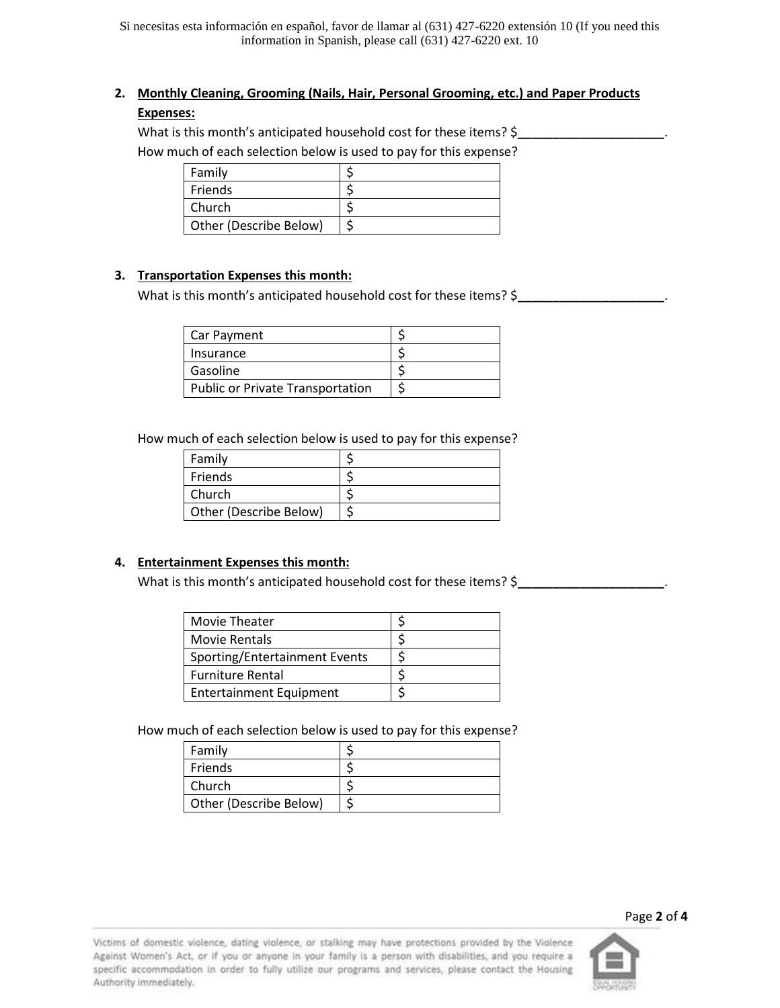# **2. Monthly Cleaning, Grooming (Nails, Hair, Personal Grooming, etc.) and Paper Products Expenses:**

### What is this month's anticipated household cost for these items? \$

How much of each selection below is used to pay for this expense?

| Family                 |  |
|------------------------|--|
| Friends                |  |
| Church                 |  |
| Other (Describe Below) |  |

# **3. Transportation Expenses this month:**

What is this month's anticipated household cost for these items? \$\_\_\_\_\_\_\_\_\_\_\_\_\_\_

| Car Payment                             |  |
|-----------------------------------------|--|
| Insurance                               |  |
| Gasoline                                |  |
| <b>Public or Private Transportation</b> |  |

How much of each selection below is used to pay for this expense?

| Family                 |  |
|------------------------|--|
| Friends                |  |
| Church                 |  |
| Other (Describe Below) |  |

# **4. Entertainment Expenses this month:**

What is this month's anticipated household cost for these items? \$

| Movie Theater                  |  |
|--------------------------------|--|
| Movie Rentals                  |  |
| Sporting/Entertainment Events  |  |
| <b>Furniture Rental</b>        |  |
| <b>Entertainment Equipment</b> |  |

How much of each selection below is used to pay for this expense?

| Family                 |  |
|------------------------|--|
| Friends                |  |
| Church                 |  |
| Other (Describe Below) |  |

Victims of domestic violence, dating violence, or stalking may have protections provided by the Violence Against Women's Act, or if you or anyone in your family is a person with disabilities, and you require a specific accommodation in order to fully utilize our programs and services, please contact the Housing Authority immediately.



Page **2** of **4**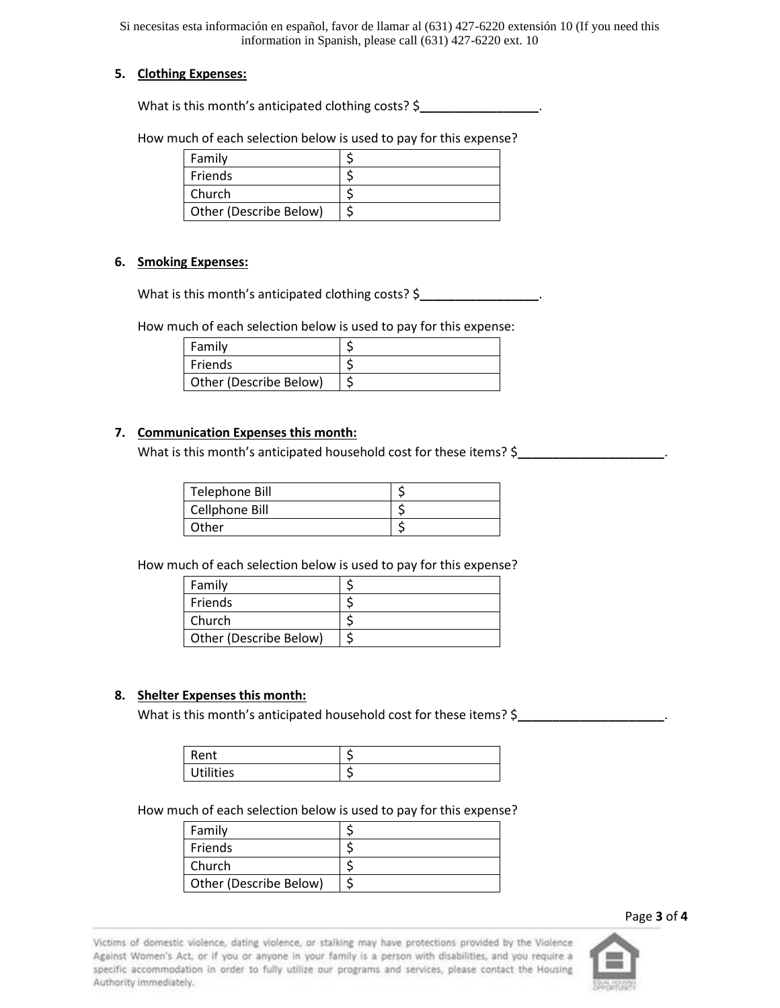Si necesitas esta información en español, favor de llamar al (631) 427-6220 extensión 10 (If you need this information in Spanish, please call (631) 427-6220 ext. 10

#### **5. Clothing Expenses:**

What is this month's anticipated clothing costs? \$**\_\_\_\_\_\_\_\_\_\_\_\_\_\_\_\_\_**.

How much of each selection below is used to pay for this expense?

| Family                 |  |
|------------------------|--|
| Friends                |  |
| Church                 |  |
| Other (Describe Below) |  |

#### **6. Smoking Expenses:**

What is this month's anticipated clothing costs? \$**\_\_\_\_\_\_\_\_\_\_\_\_\_\_\_\_\_**.

How much of each selection below is used to pay for this expense:

| Family                 |  |
|------------------------|--|
| Friends                |  |
| Other (Describe Below) |  |

#### **7. Communication Expenses this month:**

What is this month's anticipated household cost for these items? \$

| Telephone Bill |  |
|----------------|--|
| Cellphone Bill |  |
| Other          |  |

How much of each selection below is used to pay for this expense?

| Family                 |  |
|------------------------|--|
| Friends                |  |
| <b>Church</b>          |  |
| Other (Describe Below) |  |

#### **8. Shelter Expenses this month:**

What is this month's anticipated household cost for these items? \$\_\_\_\_\_\_\_\_\_\_\_\_\_\_\_

| Rent             | $\sim$ |
|------------------|--------|
| <b>Utilities</b> | $\sim$ |

How much of each selection below is used to pay for this expense?

| Family                 |  |
|------------------------|--|
| Friends                |  |
| Church                 |  |
| Other (Describe Below) |  |

Page **3** of **4**

Victims of domestic violence, dating violence, or stalking may have protections provided by the Violence Against Women's Act, or if you or anyone in your family is a person with disabilities, and you require a specific accommodation in order to fully utilize our programs and services, please contact the Housing Authority immediately.